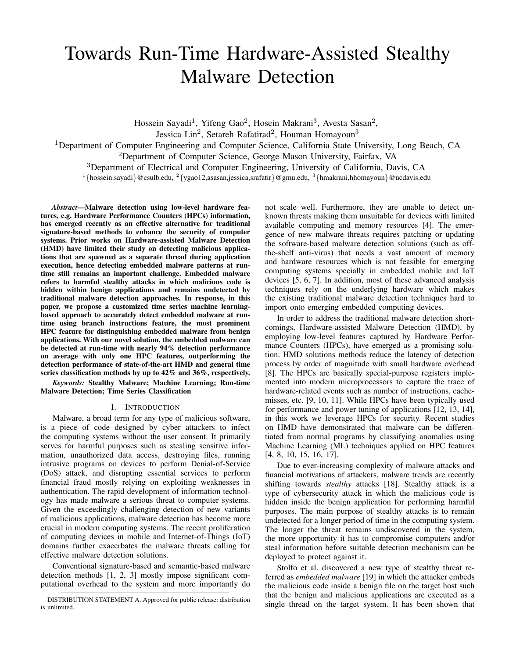# Towards Run-Time Hardware-Assisted Stealthy Malware Detection

Hossein Sayadi<sup>1</sup>, Yifeng Gao<sup>2</sup>, Hosein Makrani<sup>3</sup>, Avesta Sasan<sup>2</sup>, Jessica Lin<sup>2</sup>, Setareh Rafatirad<sup>2</sup>, Houman Homayoun<sup>3</sup>

<sup>1</sup>Department of Computer Engineering and Computer Science, California State University, Long Beach, CA

 $2$ Department of Computer Science, George Mason University, Fairfax, VA

<sup>3</sup>Department of Electrical and Computer Engineering, University of California, Davis, CA

<sup>1</sup>{hossein.sayadi}@csulb.edu, <sup>2</sup>{ygao12,asasan,jessica,srafatir}@gmu.edu, <sup>3</sup>{hmakrani,hhomayoun}@ucdavis.edu

*Abstract*—Malware detection using low-level hardware features, e.g. Hardware Performance Counters (HPCs) information, has emerged recently as an effective alternative for traditional signature-based methods to enhance the security of computer systems. Prior works on Hardware-assisted Malware Detection (HMD) have limited their study on detecting malicious applications that are spawned as a separate thread during application execution, hence detecting embedded malware patterns at runtime still remains an important challenge. Embedded malware refers to harmful stealthy attacks in which malicious code is hidden within benign applications and remains undetected by traditional malware detection approaches. In response, in this paper, we propose a customized time series machine learningbased approach to accurately detect embedded malware at runtime using branch instructions feature, the most prominent HPC feature for distinguishing embedded malware from benign applications. With our novel solution, the embedded malware can be detected at run-time with nearly 94% detection performance on average with only one HPC features, outperforming the detection performance of state-of-the-art HMD and general time series classification methods by up to 42% and 36%, respectively.

*Keywords:* Stealthy Malware; Machine Learning; Run-time Malware Detection; Time Series Classification

## I. INTRODUCTION

Malware, a broad term for any type of malicious software, is a piece of code designed by cyber attackers to infect the computing systems without the user consent. It primarily serves for harmful purposes such as stealing sensitive information, unauthorized data access, destroying files, running intrusive programs on devices to perform Denial-of-Service (DoS) attack, and disrupting essential services to perform financial fraud mostly relying on exploiting weaknesses in authentication. The rapid development of information technology has made malware a serious threat to computer systems. Given the exceedingly challenging detection of new variants of malicious applications, malware detection has become more crucial in modern computing systems. The recent proliferation of computing devices in mobile and Internet-of-Things (IoT) domains further exacerbates the malware threats calling for effective malware detection solutions.

Conventional signature-based and semantic-based malware detection methods [1, 2, 3] mostly impose significant computational overhead to the system and more importantly do not scale well. Furthermore, they are unable to detect unknown threats making them unsuitable for devices with limited available computing and memory resources [4]. The emergence of new malware threats requires patching or updating the software-based malware detection solutions (such as offthe-shelf anti-virus) that needs a vast amount of memory and hardware resources which is not feasible for emerging computing systems specially in embedded mobile and IoT devices [5, 6, 7]. In addition, most of these advanced analysis techniques rely on the underlying hardware which makes the existing traditional malware detection techniques hard to import onto emerging embedded computing devices.

In order to address the traditional malware detection shortcomings, Hardware-assisted Malware Detection (HMD), by employing low-level features captured by Hardware Performance Counters (HPCs), have emerged as a promising solution. HMD solutions methods reduce the latency of detection process by order of magnitude with small hardware overhead [8]. The HPCs are basically special-purpose registers implemented into modern microprocessors to capture the trace of hardware-related events such as number of instructions, cachemisses, etc. [9, 10, 11]. While HPCs have been typically used for performance and power tuning of applications [12, 13, 14], in this work we leverage HPCs for security. Recent studies on HMD have demonstrated that malware can be differentiated from normal programs by classifying anomalies using Machine Learning (ML) techniques applied on HPC features [4, 8, 10, 15, 16, 17].

Due to ever-increasing complexity of malware attacks and financial motivations of attackers, malware trends are recently shifting towards *stealthy* attacks [18]. Stealthy attack is a type of cybersecurity attack in which the malicious code is hidden inside the benign application for performing harmful purposes. The main purpose of stealthy attacks is to remain undetected for a longer period of time in the computing system. The longer the threat remains undiscovered in the system, the more opportunity it has to compromise computers and/or steal information before suitable detection mechanism can be deployed to protect against it.

Stolfo et al. discovered a new type of stealthy threat referred as *embedded malware* [19] in which the attacker embeds the malicious code inside a benign file on the target host such that the benign and malicious applications are executed as a single thread on the target system. It has been shown that

DISTRIBUTION STATEMENT A. Approved for public release: distribution is unlimited.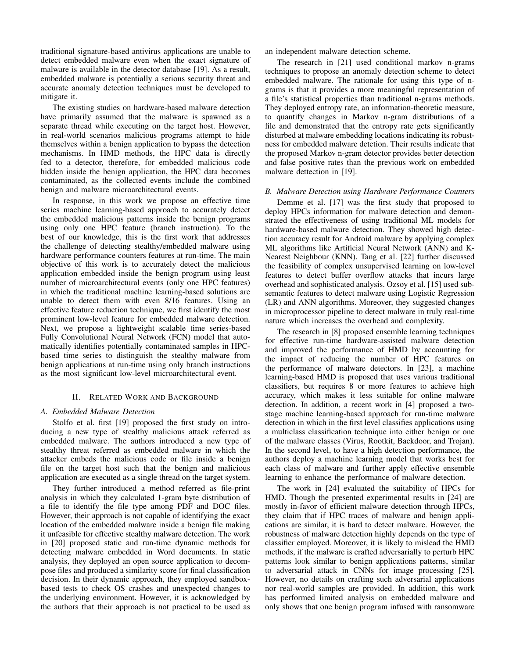traditional signature-based antivirus applications are unable to detect embedded malware even when the exact signature of malware is available in the detector database [19]. As a result, embedded malware is potentially a serious security threat and accurate anomaly detection techniques must be developed to mitigate it.

The existing studies on hardware-based malware detection have primarily assumed that the malware is spawned as a separate thread while executing on the target host. However, in real-world scenarios malicious programs attempt to hide themselves within a benign application to bypass the detection mechanisms. In HMD methods, the HPC data is directly fed to a detector, therefore, for embedded malicious code hidden inside the benign application, the HPC data becomes contaminated, as the collected events include the combined benign and malware microarchitectural events.

In response, in this work we propose an effective time series machine learning-based approach to accurately detect the embedded malicious patterns inside the benign programs using only one HPC feature (branch instruction). To the best of our knowledge, this is the first work that addresses the challenge of detecting stealthy/embedded malware using hardware performance counters features at run-time. The main objective of this work is to accurately detect the malicious application embedded inside the benign program using least number of microarchitectural events (only one HPC features) in which the traditional machine learning-based solutions are unable to detect them with even 8/16 features. Using an effective feature reduction technique, we first identify the most prominent low-level feature for embedded malware detection. Next, we propose a lightweight scalable time series-based Fully Convolutional Neural Network (FCN) model that automatically identifies potentially contaminated samples in HPCbased time series to distinguish the stealthy malware from benign applications at run-time using only branch instructions as the most significant low-level microarchitectural event.

## II. RELATED WORK AND BACKGROUND

## *A. Embedded Malware Detection*

Stolfo et al. first [19] proposed the first study on introducing a new type of stealthy malicious attack referred as embedded malware. The authors introduced a new type of stealthy threat referred as embedded malware in which the attacker embeds the malicious code or file inside a benign file on the target host such that the benign and malicious application are executed as a single thread on the target system.

They further introduced a method referred as file-print analysis in which they calculated 1-gram byte distribution of a file to identify the file type among PDF and DOC files. However, their approach is not capable of identifying the exact location of the embedded malware inside a benign file making it unfeasible for effective stealthy malware detection. The work in [20] proposed static and run-time dynamic methods for detecting malware embedded in Word documents. In static analysis, they deployed an open source application to decompose files and produced a similarity score for final classification decision. In their dynamic approach, they employed sandboxbased tests to check OS crashes and unexpected changes to the underlying environment. However, it is acknowledged by the authors that their approach is not practical to be used as an independent malware detection scheme.

The research in [21] used conditional markov n-grams techniques to propose an anomaly detection scheme to detect embedded malware. The rationale for using this type of ngrams is that it provides a more meaningful representation of a file's statistical properties than traditional n-grams methods. They deployed entropy rate, an information-theoretic measure, to quantify changes in Markov n-gram distributions of a file and demonstrated that the entropy rate gets significantly disturbed at malware embedding locations indicating its robustness for embedded malware detction. Their results indicate that the proposed Markov n-gram detector provides better detection and false positive rates than the previous work on embedded malware dettection in [19].

## *B. Malware Detection using Hardware Performance Counters*

Demme et al. [17] was the first study that proposed to deploy HPCs information for malware detection and demonstrated the effectiveness of using traditional ML models for hardware-based malware detection. They showed high detection accuracy result for Android malware by applying complex ML algorithms like Artificial Neural Network (ANN) and K-Nearest Neighbour (KNN). Tang et al. [22] further discussed the feasibility of complex unsupervised learning on low-level features to detect buffer overflow attacks that incurs large overhead and sophisticated analysis. Ozsoy et al. [15] used subsemantic features to detect malware using Logistic Regression (LR) and ANN algorithms. Moreover, they suggested changes in microprocessor pipeline to detect malware in truly real-time nature which increases the overhead and complexity.

The research in [8] proposed ensemble learning techniques for effective run-time hardware-assisted malware detection and improved the performance of HMD by accounting for the impact of reducing the number of HPC features on the performance of malware detectors. In [23], a machine learning-based HMD is proposed that uses various traditional classifiers, but requires 8 or more features to achieve high accuracy, which makes it less suitable for online malware detection. In addition, a recent work in [4] proposed a twostage machine learning-based approach for run-time malware detection in which in the first level classifies applications using a multiclass classification technique into either benign or one of the malware classes (Virus, Rootkit, Backdoor, and Trojan). In the second level, to have a high detection performance, the authors deploy a machine learning model that works best for each class of malware and further apply effective ensemble learning to enhance the performance of malware detection.

The work in [24] evaluated the suitability of HPCs for HMD. Though the presented experimental results in [24] are mostly in-favor of efficient malware detection through HPCs, they claim that if HPC traces of malware and benign applications are similar, it is hard to detect malware. However, the robustness of malware detection highly depends on the type of classifier employed. Moreover, it is likely to mislead the HMD methods, if the malware is crafted adversarially to perturb HPC patterns look similar to benign applications patterns, similar to adversarial attack in CNNs for image processing [25]. However, no details on crafting such adversarial applications nor real-world samples are provided. In addition, this work has performed limited analysis on embedded malware and only shows that one benign program infused with ransomware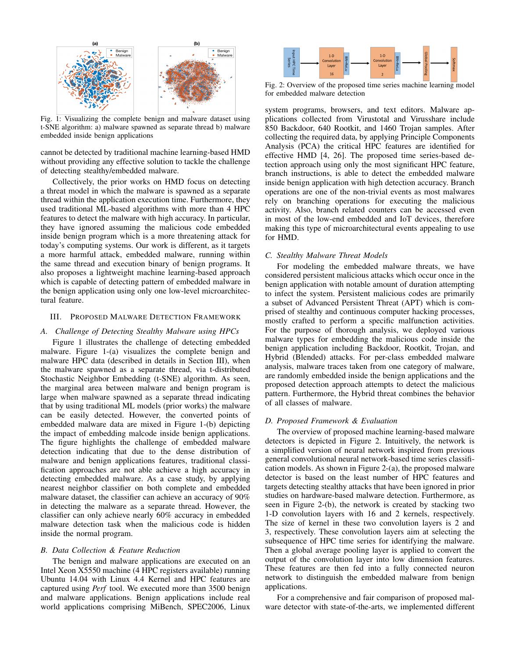

Fig. 1: Visualizing the complete benign and malware dataset using t-SNE algorithm: a) malware spawned as separate thread b) malware embedded inside benign applications

cannot be detected by traditional machine learning-based HMD without providing any effective solution to tackle the challenge of detecting stealthy/embedded malware.

Collectively, the prior works on HMD focus on detecting a threat model in which the malware is spawned as a separate thread within the application execution time. Furthermore, they used traditional ML-based algorithms with more than 4 HPC features to detect the malware with high accuracy. In particular, they have ignored assuming the malicious code embedded inside benign program which is a more threatening attack for today's computing systems. Our work is different, as it targets a more harmful attack, embedded malware, running within the same thread and execution binary of benign programs. It also proposes a lightweight machine learning-based approach which is capable of detecting pattern of embedded malware in the benign application using only one low-level microarchitectural feature.

## III. PROPOSED MALWARE DETECTION FRAMEWORK

#### *A. Challenge of Detecting Stealthy Malware using HPCs*

Figure 1 illustrates the challenge of detecting embedded malware. Figure 1-(a) visualizes the complete benign and malware HPC data (described in details in Section III), when the malware spawned as a separate thread, via t-distributed Stochastic Neighbor Embedding (t-SNE) algorithm. As seen, the marginal area between malware and benign program is large when malware spawned as a separate thread indicating that by using traditional ML models (prior works) the malware can be easily detected. However, the converted points of embedded malware data are mixed in Figure 1-(b) depicting the impact of embedding malcode inside benign applications. The figure highlights the challenge of embedded malware detection indicating that due to the dense distribution of malware and benign applications features, traditional classification approaches are not able achieve a high accuracy in detecting embedded malware. As a case study, by applying nearest neighbor classifier on both complete and embedded malware dataset, the classifier can achieve an accuracy of 90% in detecting the malware as a separate thread. However, the classifier can only achieve nearly 60% accuracy in embedded malware detection task when the malicious code is hidden inside the normal program.

#### *B. Data Collection & Feature Reduction*

The benign and malware applications are executed on an Intel Xeon X5550 machine (4 HPC registers available) running Ubuntu 14.04 with Linux 4.4 Kernel and HPC features are captured using *Perf* tool. We executed more than 3500 benign and malware applications. Benign applications include real world applications comprising MiBench, SPEC2006, Linux



Fig. 2: Overview of the proposed time series machine learning model for embedded malware detection

system programs, browsers, and text editors. Malware applications collected from Virustotal and Virusshare include 850 Backdoor, 640 Rootkit, and 1460 Trojan samples. After collecting the required data, by applying Principle Components Analysis (PCA) the critical HPC features are identified for effective HMD [4, 26]. The proposed time series-based detection approach using only the most significant HPC feature, branch instructions, is able to detect the embedded malware inside benign application with high detection accuracy. Branch operations are one of the non-trivial events as most malwares rely on branching operations for executing the malicious activity. Also, branch related counters can be accessed even in most of the low-end embedded and IoT devices, therefore making this type of microarchitectural events appealing to use for HMD.

#### *C. Stealthy Malware Threat Models*

For modeling the embedded malware threats, we have considered persistent malicious attacks which occur once in the benign application with notable amount of duration attempting to infect the system. Persistent malicious codes are primarily a subset of Advanced Persistent Threat (APT) which is comprised of stealthy and continuous computer hacking processes, mostly crafted to perform a specific malfunction activities. For the purpose of thorough analysis, we deployed various malware types for embedding the malicious code inside the benign application including Backdoor, Rootkit, Trojan, and Hybrid (Blended) attacks. For per-class embedded malware analysis, malware traces taken from one category of malware, are randomly embedded inside the benign applications and the proposed detection approach attempts to detect the malicious pattern. Furthermore, the Hybrid threat combines the behavior of all classes of malware.

## *D. Proposed Framework & Evaluation*

The overview of proposed machine learning-based malware detectors is depicted in Figure 2. Intuitively, the network is a simplified version of neural network inspired from previous general convolutional neural network-based time series classification models. As shown in Figure 2-(a), the proposed malware detector is based on the least number of HPC features and targets detecting stealthy attacks that have been ignored in prior studies on hardware-based malware detection. Furthermore, as seen in Figure 2-(b), the network is created by stacking two 1-D convolution layers with 16 and 2 kernels, respectively. The size of kernel in these two convolution layers is 2 and 3, respectively. These convolution layers aim at selecting the subsequence of HPC time series for identifying the malware. Then a global average pooling layer is applied to convert the output of the convolution layer into low dimension features. These features are then fed into a fully connected neuron network to distinguish the embedded malware from benign applications.

For a comprehensive and fair comparison of proposed malware detector with state-of-the-arts, we implemented different